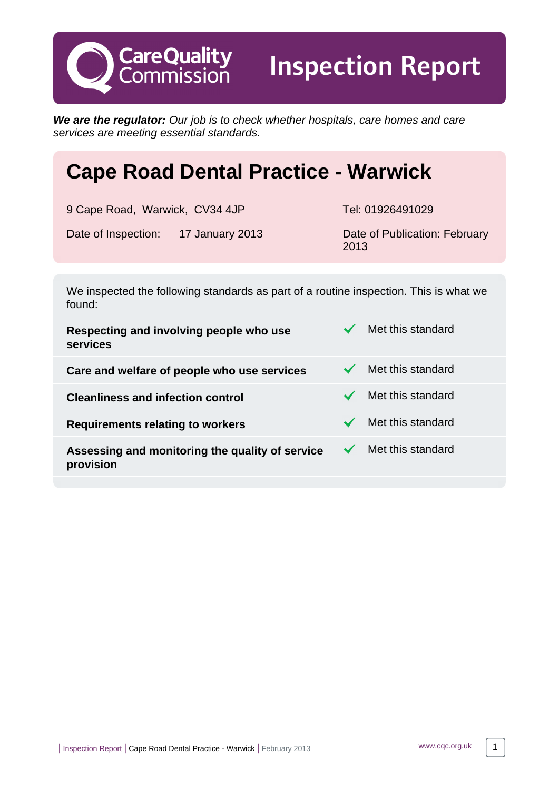**We are the regulator:** Our job is to check whether hospitals, care homes and care services are meeting essential standards.

# **Cape Road Dental Practice - Warwick**

9 Cape Road, Warwick, CV34 4JP Tel: 01926491029 Date of Inspection: 17 January 2013 Date of Publication: February

**CareQuality**<br>Commission

2013

Inspection Report

We inspected the following standards as part of a routine inspection. This is what we found:

| Respecting and involving people who use<br>services          | Met this standard |
|--------------------------------------------------------------|-------------------|
| Care and welfare of people who use services                  | Met this standard |
| <b>Cleanliness and infection control</b>                     | Met this standard |
| <b>Requirements relating to workers</b>                      | Met this standard |
| Assessing and monitoring the quality of service<br>provision | Met this standard |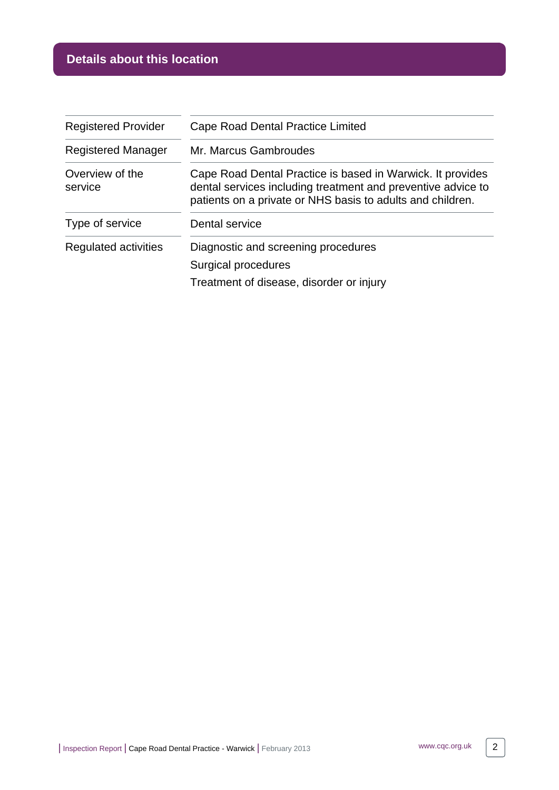# **Details about this location**

| <b>Registered Provider</b> | Cape Road Dental Practice Limited                                                                                                                                                        |  |
|----------------------------|------------------------------------------------------------------------------------------------------------------------------------------------------------------------------------------|--|
| <b>Registered Manager</b>  | Mr. Marcus Gambroudes                                                                                                                                                                    |  |
| Overview of the<br>service | Cape Road Dental Practice is based in Warwick. It provides<br>dental services including treatment and preventive advice to<br>patients on a private or NHS basis to adults and children. |  |
| Type of service            | Dental service                                                                                                                                                                           |  |
| Regulated activities       | Diagnostic and screening procedures                                                                                                                                                      |  |
|                            | Surgical procedures                                                                                                                                                                      |  |
|                            | Treatment of disease, disorder or injury                                                                                                                                                 |  |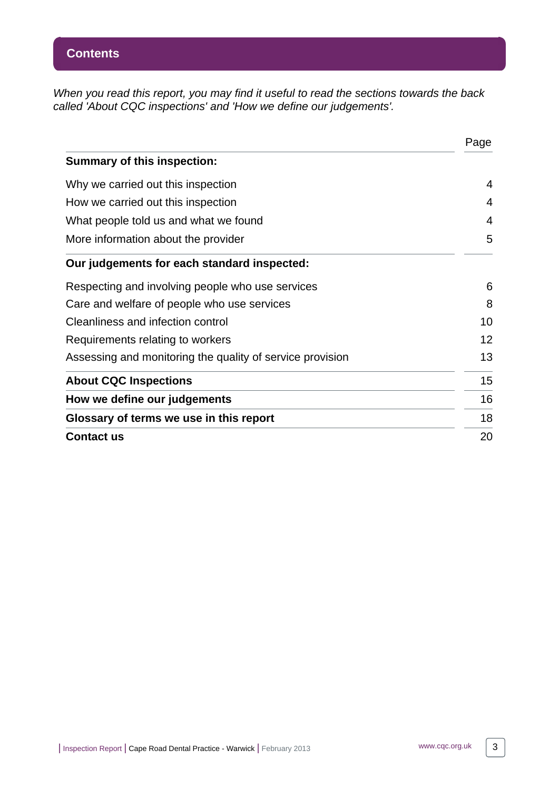When you read this report, you may find it useful to read the sections towards the back called 'About CQC inspections' and 'How we define our judgements'.

|                                                           | Page |
|-----------------------------------------------------------|------|
| <b>Summary of this inspection:</b>                        |      |
| Why we carried out this inspection                        | 4    |
| How we carried out this inspection                        | 4    |
| What people told us and what we found                     | 4    |
| More information about the provider                       | 5    |
| Our judgements for each standard inspected:               |      |
| Respecting and involving people who use services          | 6    |
| Care and welfare of people who use services               | 8    |
| Cleanliness and infection control                         | 10   |
| Requirements relating to workers                          | 12   |
| Assessing and monitoring the quality of service provision | 13   |
| <b>About CQC Inspections</b>                              | 15   |
| How we define our judgements                              | 16   |
| Glossary of terms we use in this report                   | 18   |
| <b>Contact us</b>                                         | 20   |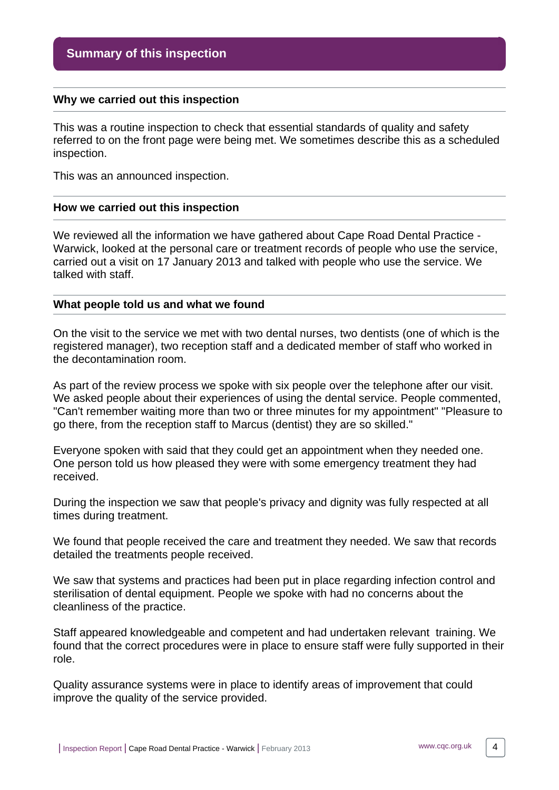#### <span id="page-3-0"></span>**Why we carried out this inspection**

This was a routine inspection to check that essential standards of quality and safety referred to on the front page were being met. We sometimes describe this as a scheduled inspection.

This was an announced inspection.

#### <span id="page-3-1"></span>**How we carried out this inspection**

We reviewed all the information we have gathered about Cape Road Dental Practice - Warwick, looked at the personal care or treatment records of people who use the service, carried out a visit on 17 January 2013 and talked with people who use the service. We talked with staff.

#### <span id="page-3-2"></span>**What people told us and what we found**

On the visit to the service we met with two dental nurses, two dentists (one of which is the registered manager), two reception staff and a dedicated member of staff who worked in the decontamination room.

As part of the review process we spoke with six people over the telephone after our visit. We asked people about their experiences of using the dental service. People commented, "Can't remember waiting more than two or three minutes for my appointment" "Pleasure to go there, from the reception staff to Marcus (dentist) they are so skilled."

Everyone spoken with said that they could get an appointment when they needed one. One person told us how pleased they were with some emergency treatment they had received.

During the inspection we saw that people's privacy and dignity was fully respected at all times during treatment.

We found that people received the care and treatment they needed. We saw that records detailed the treatments people received.

We saw that systems and practices had been put in place regarding infection control and sterilisation of dental equipment. People we spoke with had no concerns about the cleanliness of the practice.

Staff appeared knowledgeable and competent and had undertaken relevant training. We found that the correct procedures were in place to ensure staff were fully supported in their role.

Quality assurance systems were in place to identify areas of improvement that could improve the quality of the service provided.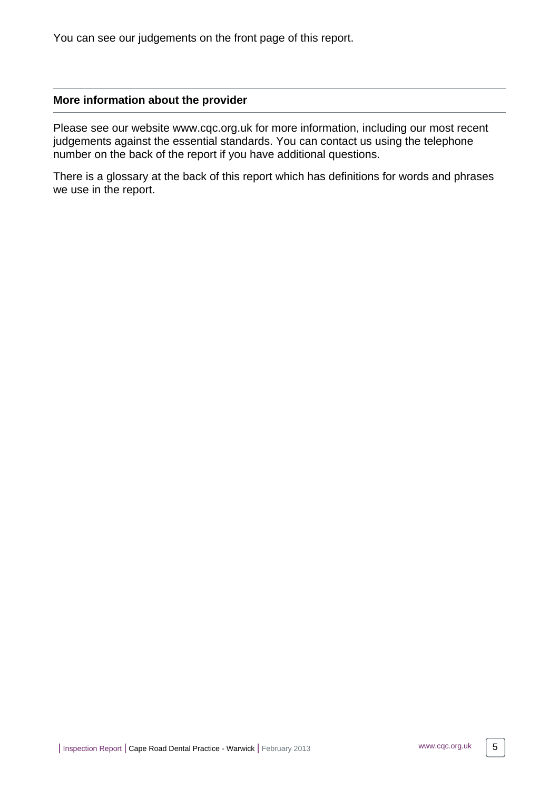You can see our judgements on the front page of this report.

#### <span id="page-4-0"></span>**More information about the provider**

Please see our website www.cqc.org.uk for more information, including our most recent judgements against the essential standards. You can contact us using the telephone number on the back of the report if you have additional questions.

There is a glossary at the back of this report which has definitions for words and phrases we use in the report.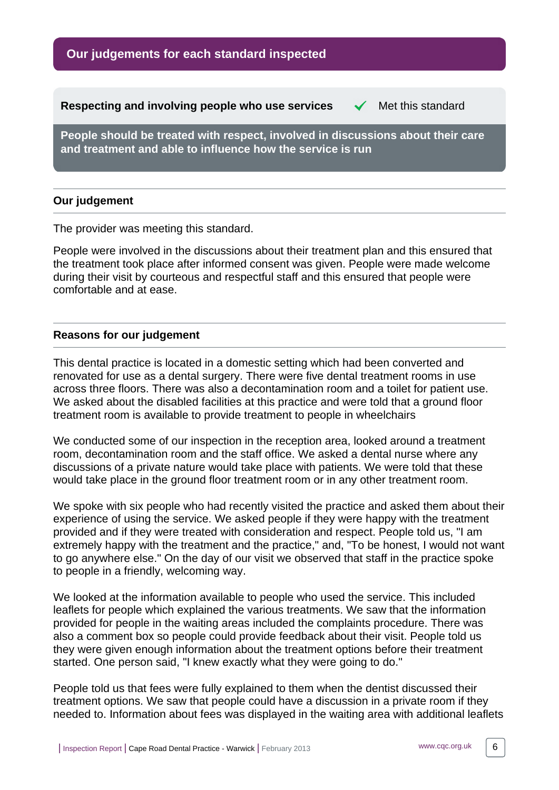**Our judgements for each standard inspected**

<span id="page-5-0"></span>**Respecting and involving people who use services**  $\checkmark$  **Met this standard** 

**People should be treated with respect, involved in discussions about their care and treatment and able to influence how the service is run**

# **Our judgement**

The provider was meeting this standard.

People were involved in the discussions about their treatment plan and this ensured that the treatment took place after informed consent was given. People were made welcome during their visit by courteous and respectful staff and this ensured that people were comfortable and at ease.

# **Reasons for our judgement**

This dental practice is located in a domestic setting which had been converted and renovated for use as a dental surgery. There were five dental treatment rooms in use across three floors. There was also a decontamination room and a toilet for patient use. We asked about the disabled facilities at this practice and were told that a ground floor treatment room is available to provide treatment to people in wheelchairs

We conducted some of our inspection in the reception area, looked around a treatment room, decontamination room and the staff office. We asked a dental nurse where any discussions of a private nature would take place with patients. We were told that these would take place in the ground floor treatment room or in any other treatment room.

We spoke with six people who had recently visited the practice and asked them about their experience of using the service. We asked people if they were happy with the treatment provided and if they were treated with consideration and respect. People told us, "I am extremely happy with the treatment and the practice," and, "To be honest, I would not want to go anywhere else." On the day of our visit we observed that staff in the practice spoke to people in a friendly, welcoming way.

We looked at the information available to people who used the service. This included leaflets for people which explained the various treatments. We saw that the information provided for people in the waiting areas included the complaints procedure. There was also a comment box so people could provide feedback about their visit. People told us they were given enough information about the treatment options before their treatment started. One person said, "I knew exactly what they were going to do."

People told us that fees were fully explained to them when the dentist discussed their treatment options. We saw that people could have a discussion in a private room if they needed to. Information about fees was displayed in the waiting area with additional leaflets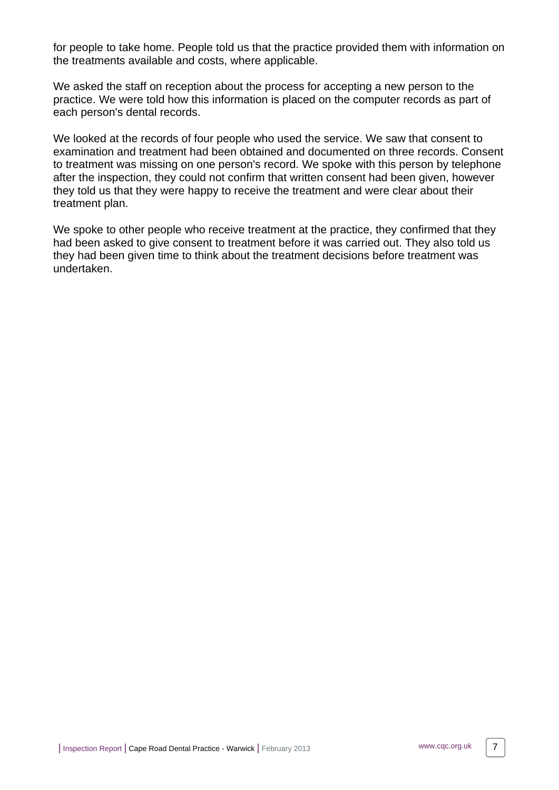for people to take home. People told us that the practice provided them with information on the treatments available and costs, where applicable.

We asked the staff on reception about the process for accepting a new person to the practice. We were told how this information is placed on the computer records as part of each person's dental records.

We looked at the records of four people who used the service. We saw that consent to examination and treatment had been obtained and documented on three records. Consent to treatment was missing on one person's record. We spoke with this person by telephone after the inspection, they could not confirm that written consent had been given, however they told us that they were happy to receive the treatment and were clear about their treatment plan.

We spoke to other people who receive treatment at the practice, they confirmed that they had been asked to give consent to treatment before it was carried out. They also told us they had been given time to think about the treatment decisions before treatment was undertaken.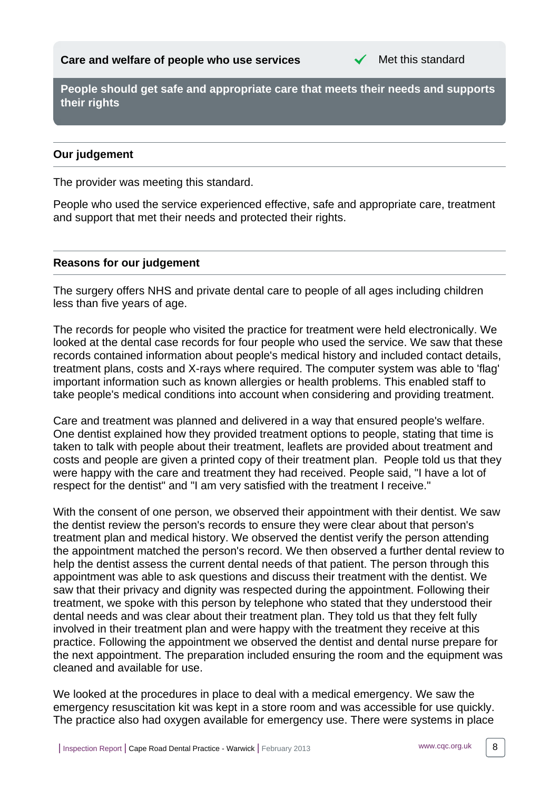

<span id="page-7-0"></span>**People should get safe and appropriate care that meets their needs and supports their rights**

# **Our judgement**

The provider was meeting this standard.

People who used the service experienced effective, safe and appropriate care, treatment and support that met their needs and protected their rights.

#### **Reasons for our judgement**

The surgery offers NHS and private dental care to people of all ages including children less than five years of age.

The records for people who visited the practice for treatment were held electronically. We looked at the dental case records for four people who used the service. We saw that these records contained information about people's medical history and included contact details, treatment plans, costs and X-rays where required. The computer system was able to 'flag' important information such as known allergies or health problems. This enabled staff to take people's medical conditions into account when considering and providing treatment.

Care and treatment was planned and delivered in a way that ensured people's welfare. One dentist explained how they provided treatment options to people, stating that time is taken to talk with people about their treatment, leaflets are provided about treatment and costs and people are given a printed copy of their treatment plan. People told us that they were happy with the care and treatment they had received. People said, "I have a lot of respect for the dentist" and "I am very satisfied with the treatment I receive."

With the consent of one person, we observed their appointment with their dentist. We saw the dentist review the person's records to ensure they were clear about that person's treatment plan and medical history. We observed the dentist verify the person attending the appointment matched the person's record. We then observed a further dental review to help the dentist assess the current dental needs of that patient. The person through this appointment was able to ask questions and discuss their treatment with the dentist. We saw that their privacy and dignity was respected during the appointment. Following their treatment, we spoke with this person by telephone who stated that they understood their dental needs and was clear about their treatment plan. They told us that they felt fully involved in their treatment plan and were happy with the treatment they receive at this practice. Following the appointment we observed the dentist and dental nurse prepare for the next appointment. The preparation included ensuring the room and the equipment was cleaned and available for use.

We looked at the procedures in place to deal with a medical emergency. We saw the emergency resuscitation kit was kept in a store room and was accessible for use quickly. The practice also had oxygen available for emergency use. There were systems in place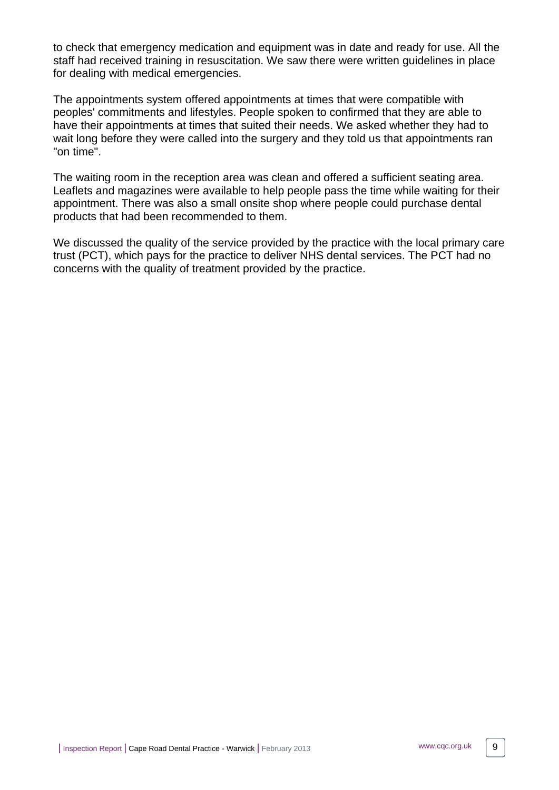to check that emergency medication and equipment was in date and ready for use. All the staff had received training in resuscitation. We saw there were written guidelines in place for dealing with medical emergencies.

The appointments system offered appointments at times that were compatible with peoples' commitments and lifestyles. People spoken to confirmed that they are able to have their appointments at times that suited their needs. We asked whether they had to wait long before they were called into the surgery and they told us that appointments ran "on time".

The waiting room in the reception area was clean and offered a sufficient seating area. Leaflets and magazines were available to help people pass the time while waiting for their appointment. There was also a small onsite shop where people could purchase dental products that had been recommended to them.

We discussed the quality of the service provided by the practice with the local primary care trust (PCT), which pays for the practice to deliver NHS dental services. The PCT had no concerns with the quality of treatment provided by the practice.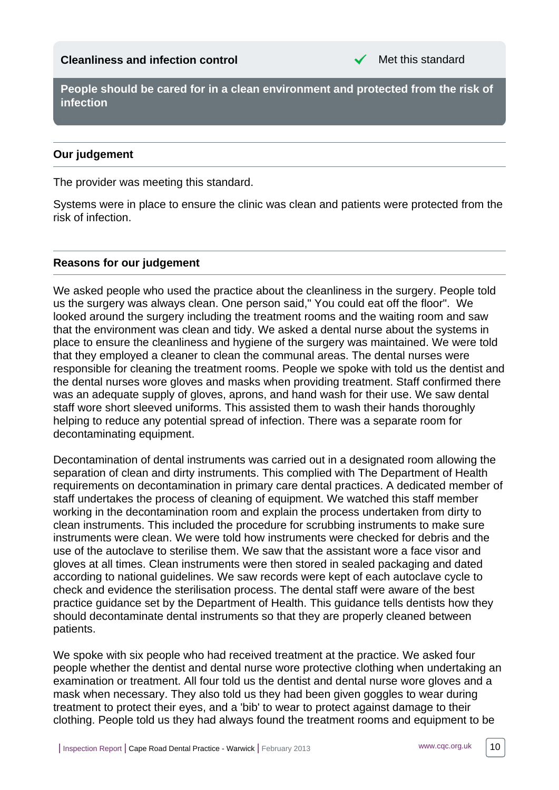<span id="page-9-0"></span>**People should be cared for in a clean environment and protected from the risk of infection**

# **Our judgement**

The provider was meeting this standard.

Systems were in place to ensure the clinic was clean and patients were protected from the risk of infection.

# **Reasons for our judgement**

We asked people who used the practice about the cleanliness in the surgery. People told us the surgery was always clean. One person said," You could eat off the floor". We looked around the surgery including the treatment rooms and the waiting room and saw that the environment was clean and tidy. We asked a dental nurse about the systems in place to ensure the cleanliness and hygiene of the surgery was maintained. We were told that they employed a cleaner to clean the communal areas. The dental nurses were responsible for cleaning the treatment rooms. People we spoke with told us the dentist and the dental nurses wore gloves and masks when providing treatment. Staff confirmed there was an adequate supply of gloves, aprons, and hand wash for their use. We saw dental staff wore short sleeved uniforms. This assisted them to wash their hands thoroughly helping to reduce any potential spread of infection. There was a separate room for decontaminating equipment.

Decontamination of dental instruments was carried out in a designated room allowing the separation of clean and dirty instruments. This complied with The Department of Health requirements on decontamination in primary care dental practices. A dedicated member of staff undertakes the process of cleaning of equipment. We watched this staff member working in the decontamination room and explain the process undertaken from dirty to clean instruments. This included the procedure for scrubbing instruments to make sure instruments were clean. We were told how instruments were checked for debris and the use of the autoclave to sterilise them. We saw that the assistant wore a face visor and gloves at all times. Clean instruments were then stored in sealed packaging and dated according to national guidelines. We saw records were kept of each autoclave cycle to check and evidence the sterilisation process. The dental staff were aware of the best practice guidance set by the Department of Health. This guidance tells dentists how they should decontaminate dental instruments so that they are properly cleaned between patients.

We spoke with six people who had received treatment at the practice. We asked four people whether the dentist and dental nurse wore protective clothing when undertaking an examination or treatment. All four told us the dentist and dental nurse wore gloves and a mask when necessary. They also told us they had been given goggles to wear during treatment to protect their eyes, and a 'bib' to wear to protect against damage to their clothing. People told us they had always found the treatment rooms and equipment to be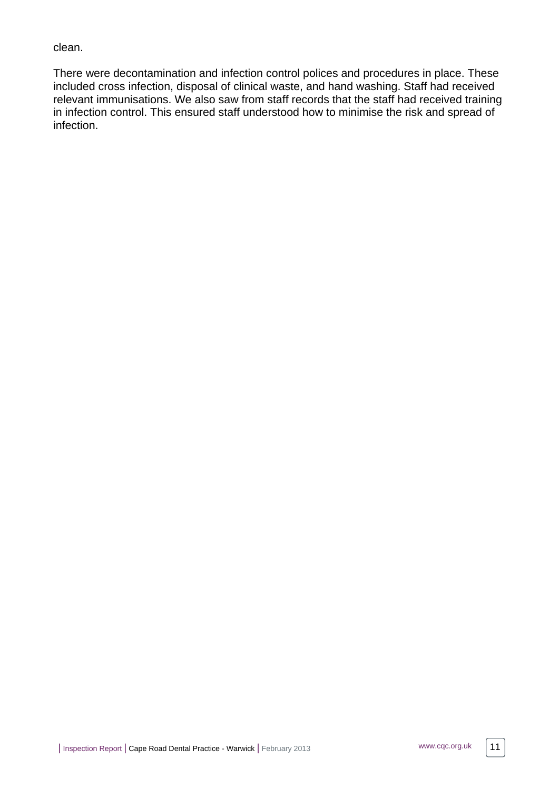clean.

There were decontamination and infection control polices and procedures in place. These included cross infection, disposal of clinical waste, and hand washing. Staff had received relevant immunisations. We also saw from staff records that the staff had received training in infection control. This ensured staff understood how to minimise the risk and spread of infection.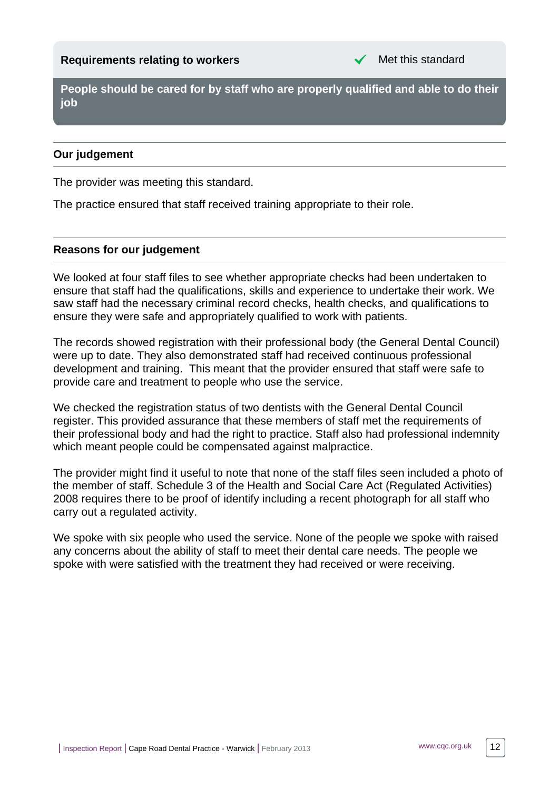<span id="page-11-0"></span>**People should be cared for by staff who are properly qualified and able to do their job**

# **Our judgement**

The provider was meeting this standard.

The practice ensured that staff received training appropriate to their role.

# **Reasons for our judgement**

We looked at four staff files to see whether appropriate checks had been undertaken to ensure that staff had the qualifications, skills and experience to undertake their work. We saw staff had the necessary criminal record checks, health checks, and qualifications to ensure they were safe and appropriately qualified to work with patients.

The records showed registration with their professional body (the General Dental Council) were up to date. They also demonstrated staff had received continuous professional development and training. This meant that the provider ensured that staff were safe to provide care and treatment to people who use the service.

We checked the registration status of two dentists with the General Dental Council register. This provided assurance that these members of staff met the requirements of their professional body and had the right to practice. Staff also had professional indemnity which meant people could be compensated against malpractice.

The provider might find it useful to note that none of the staff files seen included a photo of the member of staff. Schedule 3 of the Health and Social Care Act (Regulated Activities) 2008 requires there to be proof of identify including a recent photograph for all staff who carry out a regulated activity.

We spoke with six people who used the service. None of the people we spoke with raised any concerns about the ability of staff to meet their dental care needs. The people we spoke with were satisfied with the treatment they had received or were receiving.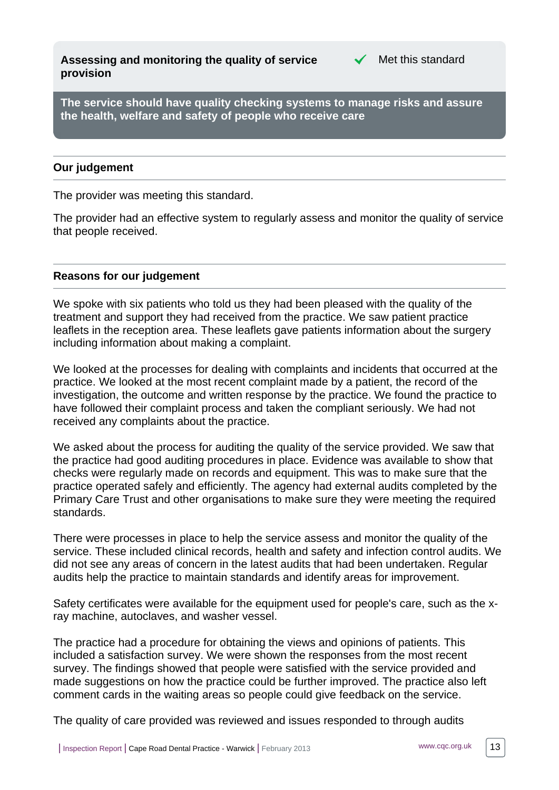<span id="page-12-0"></span>**Assessing and monitoring the quality of service provision**



**The service should have quality checking systems to manage risks and assure the health, welfare and safety of people who receive care**

## **Our judgement**

The provider was meeting this standard.

The provider had an effective system to regularly assess and monitor the quality of service that people received.

#### **Reasons for our judgement**

We spoke with six patients who told us they had been pleased with the quality of the treatment and support they had received from the practice. We saw patient practice leaflets in the reception area. These leaflets gave patients information about the surgery including information about making a complaint.

We looked at the processes for dealing with complaints and incidents that occurred at the practice. We looked at the most recent complaint made by a patient, the record of the investigation, the outcome and written response by the practice. We found the practice to have followed their complaint process and taken the compliant seriously. We had not received any complaints about the practice.

We asked about the process for auditing the quality of the service provided. We saw that the practice had good auditing procedures in place. Evidence was available to show that checks were regularly made on records and equipment. This was to make sure that the practice operated safely and efficiently. The agency had external audits completed by the Primary Care Trust and other organisations to make sure they were meeting the required standards.

There were processes in place to help the service assess and monitor the quality of the service. These included clinical records, health and safety and infection control audits. We did not see any areas of concern in the latest audits that had been undertaken. Regular audits help the practice to maintain standards and identify areas for improvement.

Safety certificates were available for the equipment used for people's care, such as the xray machine, autoclaves, and washer vessel.

The practice had a procedure for obtaining the views and opinions of patients. This included a satisfaction survey. We were shown the responses from the most recent survey. The findings showed that people were satisfied with the service provided and made suggestions on how the practice could be further improved. The practice also left comment cards in the waiting areas so people could give feedback on the service.

The quality of care provided was reviewed and issues responded to through audits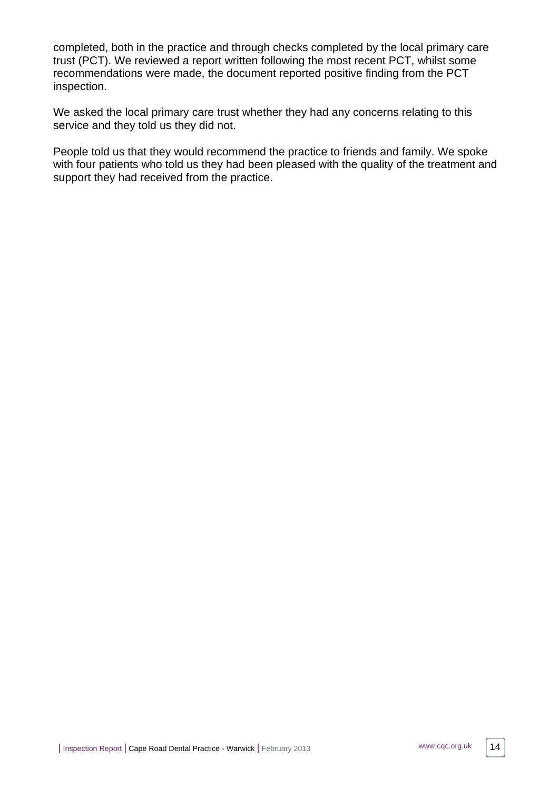completed, both in the practice and through checks completed by the local primary care trust (PCT). We reviewed a report written following the most recent PCT, whilst some recommendations were made, the document reported positive finding from the PCT inspection.

We asked the local primary care trust whether they had any concerns relating to this service and they told us they did not.

People told us that they would recommend the practice to friends and family. We spoke with four patients who told us they had been pleased with the quality of the treatment and support they had received from the practice.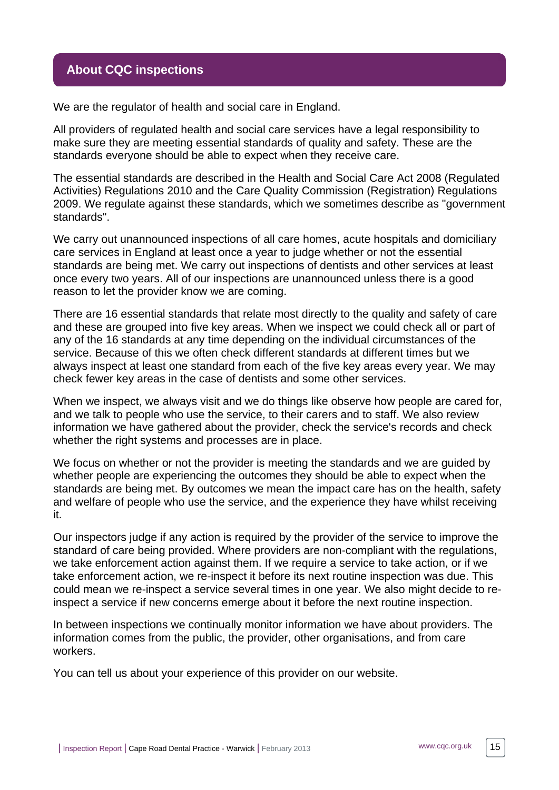# <span id="page-14-0"></span>**About CQC inspections**

We are the regulator of health and social care in England.

All providers of regulated health and social care services have a legal responsibility to make sure they are meeting essential standards of quality and safety. These are the standards everyone should be able to expect when they receive care.

The essential standards are described in the Health and Social Care Act 2008 (Regulated Activities) Regulations 2010 and the Care Quality Commission (Registration) Regulations 2009. We regulate against these standards, which we sometimes describe as "government standards".

We carry out unannounced inspections of all care homes, acute hospitals and domiciliary care services in England at least once a year to judge whether or not the essential standards are being met. We carry out inspections of dentists and other services at least once every two years. All of our inspections are unannounced unless there is a good reason to let the provider know we are coming.

There are 16 essential standards that relate most directly to the quality and safety of care and these are grouped into five key areas. When we inspect we could check all or part of any of the 16 standards at any time depending on the individual circumstances of the service. Because of this we often check different standards at different times but we always inspect at least one standard from each of the five key areas every year. We may check fewer key areas in the case of dentists and some other services.

When we inspect, we always visit and we do things like observe how people are cared for, and we talk to people who use the service, to their carers and to staff. We also review information we have gathered about the provider, check the service's records and check whether the right systems and processes are in place.

We focus on whether or not the provider is meeting the standards and we are guided by whether people are experiencing the outcomes they should be able to expect when the standards are being met. By outcomes we mean the impact care has on the health, safety and welfare of people who use the service, and the experience they have whilst receiving it.

Our inspectors judge if any action is required by the provider of the service to improve the standard of care being provided. Where providers are non-compliant with the regulations, we take enforcement action against them. If we require a service to take action, or if we take enforcement action, we re-inspect it before its next routine inspection was due. This could mean we re-inspect a service several times in one year. We also might decide to reinspect a service if new concerns emerge about it before the next routine inspection.

In between inspections we continually monitor information we have about providers. The information comes from the public, the provider, other organisations, and from care workers.

You can tell us about your experience of this provider on our website.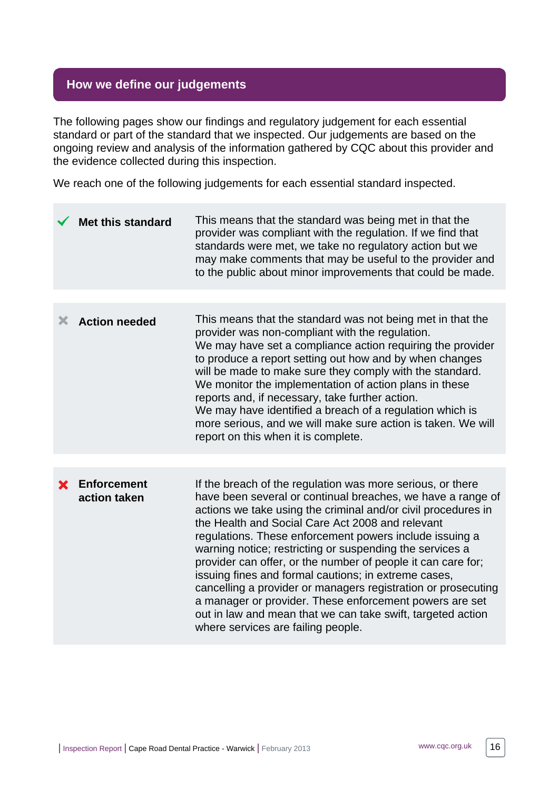# <span id="page-15-0"></span>**How we define our judgements**

The following pages show our findings and regulatory judgement for each essential standard or part of the standard that we inspected. Our judgements are based on the ongoing review and analysis of the information gathered by CQC about this provider and the evidence collected during this inspection.

We reach one of the following judgements for each essential standard inspected.

|   | <b>Met this standard</b>           | This means that the standard was being met in that the<br>provider was compliant with the regulation. If we find that<br>standards were met, we take no regulatory action but we<br>may make comments that may be useful to the provider and<br>to the public about minor improvements that could be made.                                                                                                                                                                                                                                                                                                                                                                                                                     |
|---|------------------------------------|--------------------------------------------------------------------------------------------------------------------------------------------------------------------------------------------------------------------------------------------------------------------------------------------------------------------------------------------------------------------------------------------------------------------------------------------------------------------------------------------------------------------------------------------------------------------------------------------------------------------------------------------------------------------------------------------------------------------------------|
|   |                                    |                                                                                                                                                                                                                                                                                                                                                                                                                                                                                                                                                                                                                                                                                                                                |
| Х | <b>Action needed</b>               | This means that the standard was not being met in that the<br>provider was non-compliant with the regulation.<br>We may have set a compliance action requiring the provider<br>to produce a report setting out how and by when changes<br>will be made to make sure they comply with the standard.<br>We monitor the implementation of action plans in these<br>reports and, if necessary, take further action.<br>We may have identified a breach of a regulation which is<br>more serious, and we will make sure action is taken. We will<br>report on this when it is complete.                                                                                                                                             |
|   |                                    |                                                                                                                                                                                                                                                                                                                                                                                                                                                                                                                                                                                                                                                                                                                                |
| X | <b>Enforcement</b><br>action taken | If the breach of the regulation was more serious, or there<br>have been several or continual breaches, we have a range of<br>actions we take using the criminal and/or civil procedures in<br>the Health and Social Care Act 2008 and relevant<br>regulations. These enforcement powers include issuing a<br>warning notice; restricting or suspending the services a<br>provider can offer, or the number of people it can care for;<br>issuing fines and formal cautions; in extreme cases,<br>cancelling a provider or managers registration or prosecuting<br>a manager or provider. These enforcement powers are set<br>out in law and mean that we can take swift, targeted action<br>where services are failing people. |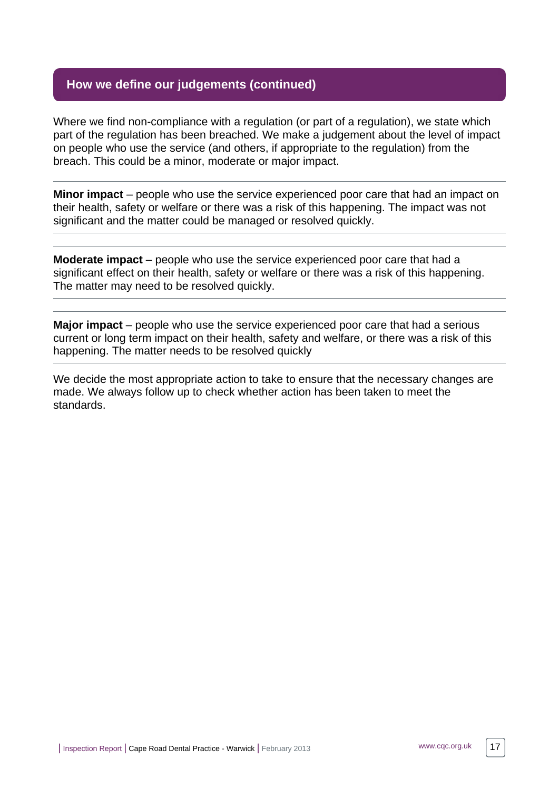# **How we define our judgements (continued)**

Where we find non-compliance with a regulation (or part of a regulation), we state which part of the regulation has been breached. We make a judgement about the level of impact on people who use the service (and others, if appropriate to the regulation) from the breach. This could be a minor, moderate or major impact.

**Minor impact** – people who use the service experienced poor care that had an impact on their health, safety or welfare or there was a risk of this happening. The impact was not significant and the matter could be managed or resolved quickly.

**Moderate impact** – people who use the service experienced poor care that had a significant effect on their health, safety or welfare or there was a risk of this happening. The matter may need to be resolved quickly.

**Major impact** – people who use the service experienced poor care that had a serious current or long term impact on their health, safety and welfare, or there was a risk of this happening. The matter needs to be resolved quickly

We decide the most appropriate action to take to ensure that the necessary changes are made. We always follow up to check whether action has been taken to meet the standards.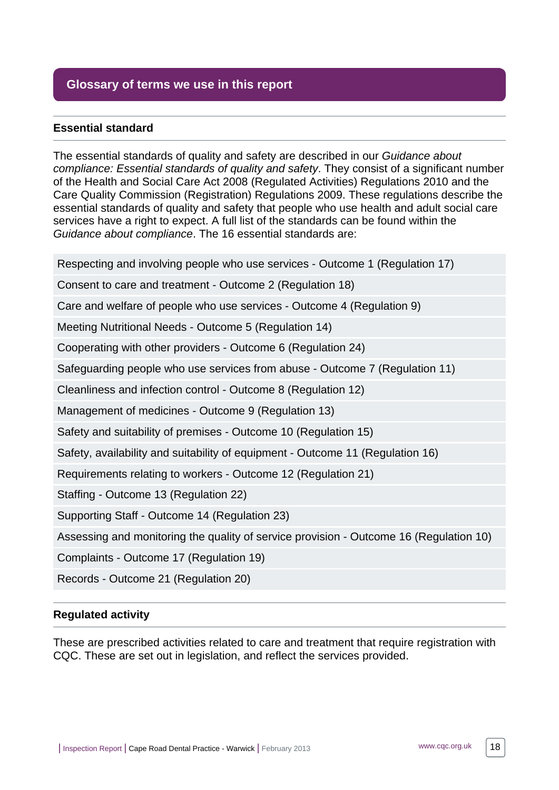# <span id="page-17-0"></span>**Glossary of terms we use in this report**

# **Essential standard**

The essential standards of quality and safety are described in our Guidance about compliance: Essential standards of quality and safety. They consist of a significant number of the Health and Social Care Act 2008 (Regulated Activities) Regulations 2010 and the Care Quality Commission (Registration) Regulations 2009. These regulations describe the essential standards of quality and safety that people who use health and adult social care services have a right to expect. A full list of the standards can be found within the Guidance about compliance. The 16 essential standards are:

Respecting and involving people who use services - Outcome 1 (Regulation 17)

Consent to care and treatment - Outcome 2 (Regulation 18)

Care and welfare of people who use services - Outcome 4 (Regulation 9)

Meeting Nutritional Needs - Outcome 5 (Regulation 14)

Cooperating with other providers - Outcome 6 (Regulation 24)

Safeguarding people who use services from abuse - Outcome 7 (Regulation 11)

Cleanliness and infection control - Outcome 8 (Regulation 12)

Management of medicines - Outcome 9 (Regulation 13)

Safety and suitability of premises - Outcome 10 (Regulation 15)

Safety, availability and suitability of equipment - Outcome 11 (Regulation 16)

Requirements relating to workers - Outcome 12 (Regulation 21)

Staffing - Outcome 13 (Regulation 22)

Supporting Staff - Outcome 14 (Regulation 23)

Assessing and monitoring the quality of service provision - Outcome 16 (Regulation 10)

Complaints - Outcome 17 (Regulation 19)

Records - Outcome 21 (Regulation 20)

#### **Regulated activity**

These are prescribed activities related to care and treatment that require registration with CQC. These are set out in legislation, and reflect the services provided.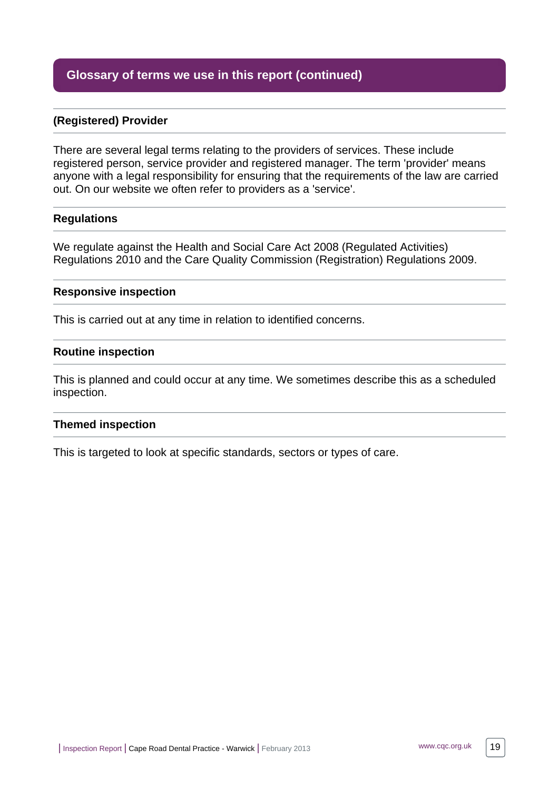# **Glossary of terms we use in this report (continued)**

## **(Registered) Provider**

There are several legal terms relating to the providers of services. These include registered person, service provider and registered manager. The term 'provider' means anyone with a legal responsibility for ensuring that the requirements of the law are carried out. On our website we often refer to providers as a 'service'.

#### **Regulations**

We regulate against the Health and Social Care Act 2008 (Regulated Activities) Regulations 2010 and the Care Quality Commission (Registration) Regulations 2009.

#### **Responsive inspection**

This is carried out at any time in relation to identified concerns.

#### **Routine inspection**

This is planned and could occur at any time. We sometimes describe this as a scheduled inspection.

#### **Themed inspection**

This is targeted to look at specific standards, sectors or types of care.